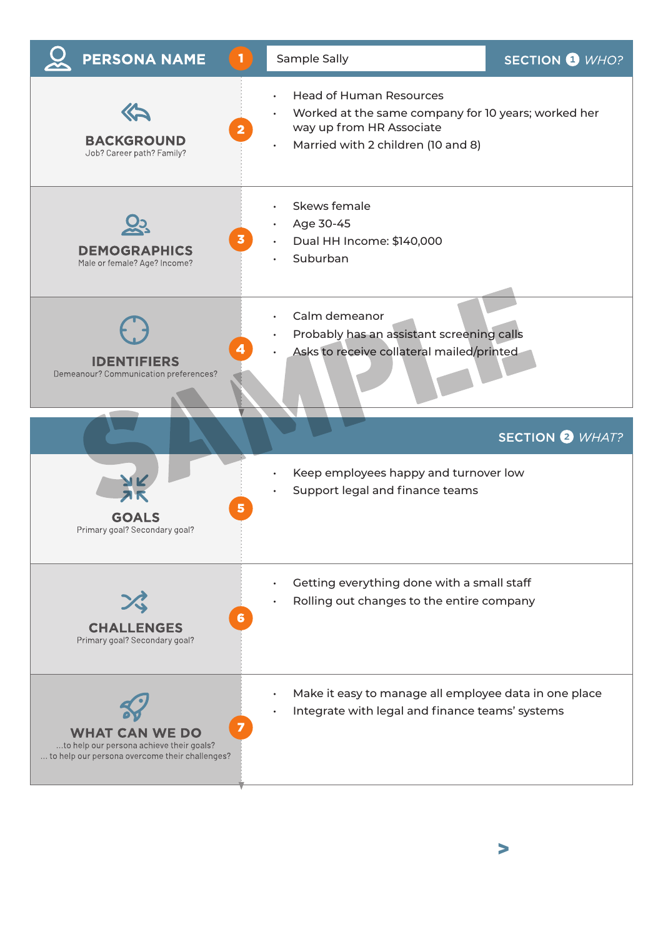